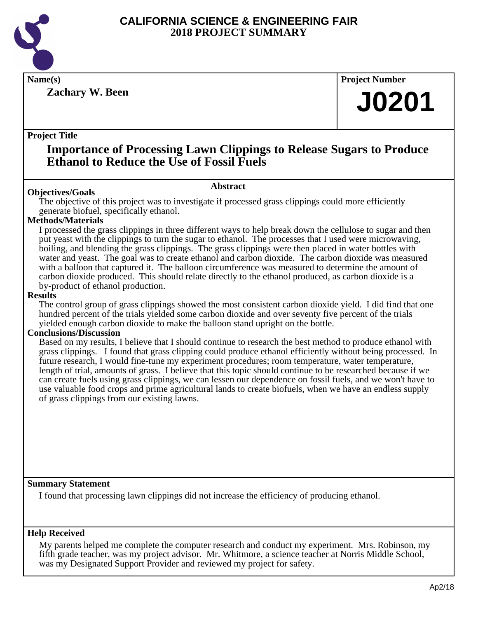

**Zachary W. Been**

**Name(s) Project Number**

# **J0201**

## **Project Title**

## **Importance of Processing Lawn Clippings to Release Sugars to Produce Ethanol to Reduce the Use of Fossil Fuels**

## **Abstract**

**Objectives/Goals** The objective of this project was to investigate if processed grass clippings could more efficiently generate biofuel, specifically ethanol.

## **Methods/Materials**

I processed the grass clippings in three different ways to help break down the cellulose to sugar and then put yeast with the clippings to turn the sugar to ethanol. The processes that I used were microwaving, boiling, and blending the grass clippings. The grass clippings were then placed in water bottles with water and yeast. The goal was to create ethanol and carbon dioxide. The carbon dioxide was measured with a balloon that captured it. The balloon circumference was measured to determine the amount of carbon dioxide produced. This should relate directly to the ethanol produced, as carbon dioxide is a by-product of ethanol production.

## **Results**

The control group of grass clippings showed the most consistent carbon dioxide yield. I did find that one hundred percent of the trials yielded some carbon dioxide and over seventy five percent of the trials yielded enough carbon dioxide to make the balloon stand upright on the bottle.

## **Conclusions/Discussion**

Based on my results, I believe that I should continue to research the best method to produce ethanol with grass clippings. I found that grass clipping could produce ethanol efficiently without being processed. In future research, I would fine-tune my experiment procedures; room temperature, water temperature, length of trial, amounts of grass. I believe that this topic should continue to be researched because if we can create fuels using grass clippings, we can lessen our dependence on fossil fuels, and we won't have to use valuable food crops and prime agricultural lands to create biofuels, when we have an endless supply of grass clippings from our existing lawns.

## **Summary Statement**

I found that processing lawn clippings did not increase the efficiency of producing ethanol.

## **Help Received**

My parents helped me complete the computer research and conduct my experiment. Mrs. Robinson, my fifth grade teacher, was my project advisor. Mr. Whitmore, a science teacher at Norris Middle School, was my Designated Support Provider and reviewed my project for safety.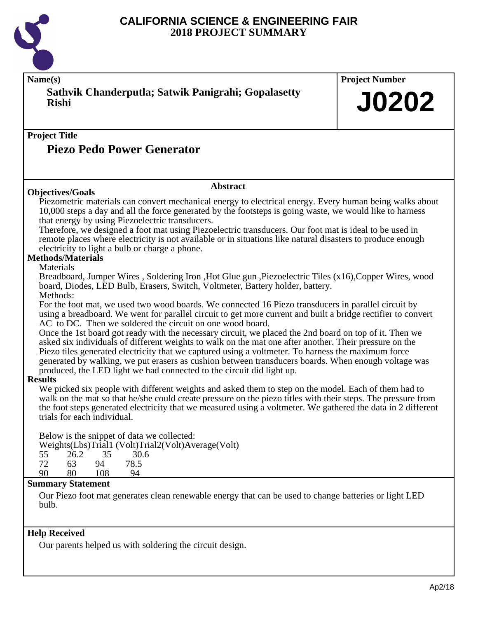

**Name(s) Project Number Project Title Abstract Summary Statement Help Received Sathvik Chanderputla; Satwik Panigrahi; Gopalasetty Rishi Piezo Pedo Power Generator J0202 Objectives/Goals** Piezometric materials can convert mechanical energy to electrical energy. Every human being walks about 10,000 steps a day and all the force generated by the footsteps is going waste, we would like to harness that energy by using Piezoelectric transducers. Therefore, we designed a foot mat using Piezoelectric transducers. Our foot mat is ideal to be used in remote places where electricity is not available or in situations like natural disasters to produce enough electricity to light a bulb or charge a phone. **Methods/Materials** Materials Breadboard, Jumper Wires , Soldering Iron ,Hot Glue gun ,Piezoelectric Tiles (x16),Copper Wires, wood board, Diodes, LED Bulb, Erasers, Switch, Voltmeter, Battery holder, battery. Methods: For the foot mat, we used two wood boards. We connected 16 Piezo transducers in parallel circuit by using a breadboard. We went for parallel circuit to get more current and built a bridge rectifier to convert AC to DC. Then we soldered the circuit on one wood board. Once the 1st board got ready with the necessary circuit, we placed the 2nd board on top of it. Then we asked six individuals of different weights to walk on the mat one after another. Their pressure on the Piezo tiles generated electricity that we captured using a voltmeter. To harness the maximum force generated by walking, we put erasers as cushion between transducers boards. When enough voltage was produced, the LED light we had connected to the circuit did light up. **Results** We picked six people with different weights and asked them to step on the model. Each of them had to walk on the mat so that he/she could create pressure on the piezo titles with their steps. The pressure from the foot steps generated electricity that we measured using a voltmeter. We gathered the data in 2 different trials for each individual. Below is the snippet of data we collected: Weights(Lbs) Trial1 (Volt) Trial2(Volt) Average(Volt)  $55 \t 26.2 \t 35 \t 30.6$ 55 26.2 35 30.6<br>72 63 94 78.5 72 63 94 78.5 10<sub>8</sub> Our Piezo foot mat generates clean renewable energy that can be used to change batteries or light LED bulb.

Our parents helped us with soldering the circuit design.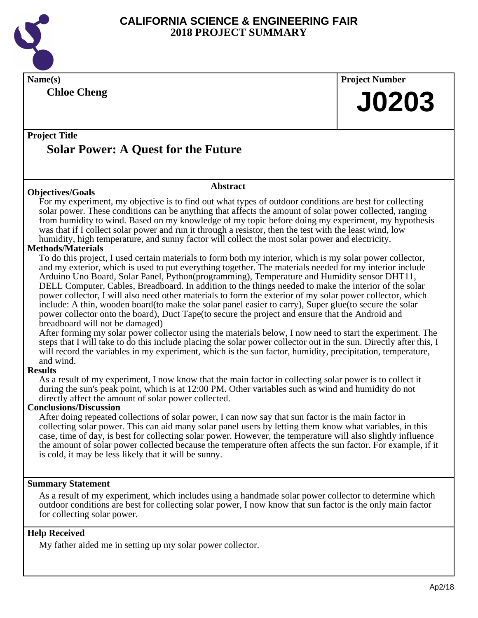

**Name(s) Project Number Project Title Abstract Chloe Cheng Solar Power: A Quest for the Future J0203 Objectives/Goals** For my experiment, my objective is to find out what types of outdoor conditions are best for collecting solar power. These conditions can be anything that affects the amount of solar power collected, ranging from humidity to wind. Based on my knowledge of my topic before doing my experiment, my hypothesis was that if I collect solar power and run it through a resistor, then the test with the least wind, low humidity, high temperature, and sunny factor will collect the most solar power and electricity. **Methods/Materials** To do this project, I used certain materials to form both my interior, which is my solar power collector, and my exterior, which is used to put everything together. The materials needed for my interior include Arduino Uno Board, Solar Panel, Python(programming), Temperature and Humidity sensor DHT11, DELL Computer, Cables, Breadboard. In addition to the things needed to make the interior of the solar power collector, I will also need other materials to form the exterior of my solar power collector, which include: A thin, wooden board(to make the solar panel easier to carry), Super glue(to secure the solar power collector onto the board), Duct Tape(to secure the project and ensure that the Android and breadboard will not be damaged) After forming my solar power collector using the materials below, I now need to start the experiment. The steps that I will take to do this include placing the solar power collector out in the sun. Directly after this, I will record the variables in my experiment, which is the sun factor, humidity, precipitation, temperature, and wind. **Results** As a result of my experiment, I now know that the main factor in collecting solar power is to collect it during the sun's peak point, which is at 12:00 PM. Other variables such as wind and humidity do not directly affect the amount of solar power collected. **Conclusions/Discussion**

After doing repeated collections of solar power, I can now say that sun factor is the main factor in collecting solar power. This can aid many solar panel users by letting them know what variables, in this case, time of day, is best for collecting solar power. However, the temperature will also slightly influence the amount of solar power collected because the temperature often affects the sun factor. For example, if it is cold, it may be less likely that it will be sunny.

#### **Summary Statement**

As a result of my experiment, which includes using a handmade solar power collector to determine which outdoor conditions are best for collecting solar power, I now know that sun factor is the only main factor for collecting solar power.

## **Help Received**

My father aided me in setting up my solar power collector.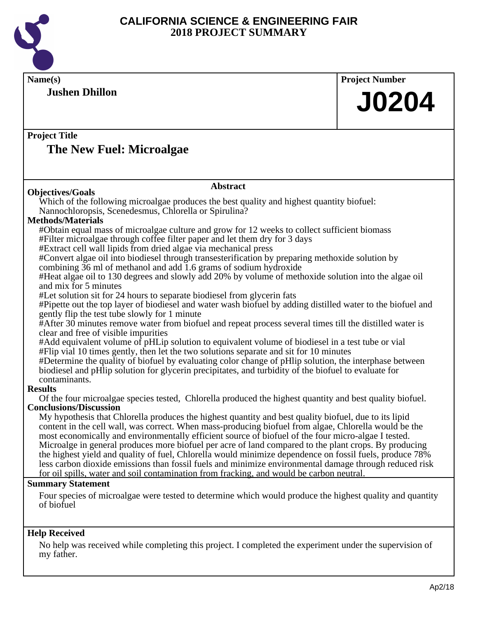

| Name(s)                                                                                                                                                                                                      | <b>Project Number</b> |  |
|--------------------------------------------------------------------------------------------------------------------------------------------------------------------------------------------------------------|-----------------------|--|
| <b>Jushen Dhillon</b>                                                                                                                                                                                        |                       |  |
|                                                                                                                                                                                                              | <b>J0204</b>          |  |
|                                                                                                                                                                                                              |                       |  |
| <b>Project Title</b>                                                                                                                                                                                         |                       |  |
| The New Fuel: Microalgae                                                                                                                                                                                     |                       |  |
|                                                                                                                                                                                                              |                       |  |
| <b>Abstract</b>                                                                                                                                                                                              |                       |  |
| <b>Objectives/Goals</b>                                                                                                                                                                                      |                       |  |
| Which of the following microalgae produces the best quality and highest quantity biofuel:<br>Nannochloropsis, Scenedesmus, Chlorella or Spirulina?                                                           |                       |  |
| <b>Methods/Materials</b>                                                                                                                                                                                     |                       |  |
| #Obtain equal mass of microalgae culture and grow for 12 weeks to collect sufficient biomass                                                                                                                 |                       |  |
| #Filter microalgae through coffee filter paper and let them dry for 3 days<br>#Extract cell wall lipids from dried algae via mechanical press                                                                |                       |  |
| #Convert algae oil into biodiesel through transesterification by preparing methoxide solution by                                                                                                             |                       |  |
| combining 36 ml of methanol and add 1.6 grams of sodium hydroxide                                                                                                                                            |                       |  |
| #Heat algae oil to 130 degrees and slowly add 20% by volume of methoxide solution into the algae oil                                                                                                         |                       |  |
| and mix for 5 minutes                                                                                                                                                                                        |                       |  |
| #Let solution sit for 24 hours to separate biodiesel from glycerin fats<br>#Pipette out the top layer of biodiesel and water wash biofuel by adding distilled water to the biofuel and                       |                       |  |
| gently flip the test tube slowly for 1 minute                                                                                                                                                                |                       |  |
| #After 30 minutes remove water from biofuel and repeat process several times till the distilled water is                                                                                                     |                       |  |
| clear and free of visible impurities<br>#Add equivalent volume of pHLip solution to equivalent volume of biodiesel in a test tube or vial                                                                    |                       |  |
| #Flip vial 10 times gently, then let the two solutions separate and sit for 10 minutes                                                                                                                       |                       |  |
| #Determine the quality of biofuel by evaluating color change of pHlip solution, the interphase between                                                                                                       |                       |  |
| biodiesel and pHlip solution for glycerin precipitates, and turbidity of the biofuel to evaluate for                                                                                                         |                       |  |
| contaminants.<br><b>Results</b>                                                                                                                                                                              |                       |  |
| Of the four microalgae species tested, Chlorella produced the highest quantity and best quality biofuel.                                                                                                     |                       |  |
| <b>Conclusions/Discussion</b>                                                                                                                                                                                |                       |  |
| My hypothesis that Chlorella produces the highest quantity and best quality biofuel, due to its lipid                                                                                                        |                       |  |
| content in the cell wall, was correct. When mass-producing biofuel from algae, Chlorella would be the<br>most economically and environmentally efficient source of biofuel of the four micro-algae I tested. |                       |  |
| Microalge in general produces more biofuel per acre of land compared to the plant crops. By producing                                                                                                        |                       |  |
| the highest yield and quality of fuel, Chlorella would minimize dependence on fossil fuels, produce 78%                                                                                                      |                       |  |
| less carbon dioxide emissions than fossil fuels and minimize environmental damage through reduced risk                                                                                                       |                       |  |
| for oil spills, water and soil contamination from fracking, and would be carbon neutral.                                                                                                                     |                       |  |
| <b>Summary Statement</b>                                                                                                                                                                                     |                       |  |
| Four species of microalgae were tested to determine which would produce the highest quality and quantity<br>of biofuel                                                                                       |                       |  |
|                                                                                                                                                                                                              |                       |  |
| <b>Help Received</b>                                                                                                                                                                                         |                       |  |
| No help was received while completing this project. I completed the experiment under the supervision of                                                                                                      |                       |  |
| my father.                                                                                                                                                                                                   |                       |  |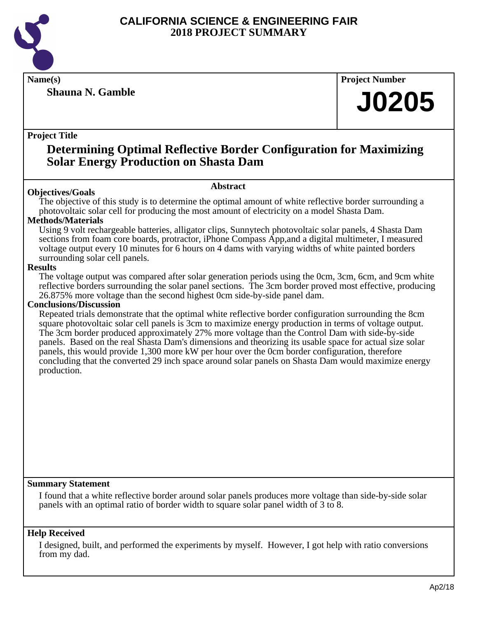

**Shauna N. Gamble**

**Name(s) Project Number**

## **J0205**

## **Project Title**

## **Determining Optimal Reflective Border Configuration for Maximizing Solar Energy Production on Shasta Dam**

## **Abstract**

**Objectives/Goals** The objective of this study is to determine the optimal amount of white reflective border surrounding a photovoltaic solar cell for producing the most amount of electricity on a model Shasta Dam.

## **Methods/Materials**

Using 9 volt rechargeable batteries, alligator clips, Sunnytech photovoltaic solar panels, 4 Shasta Dam sections from foam core boards, protractor, iPhone Compass App,and a digital multimeter, I measured voltage output every 10 minutes for 6 hours on 4 dams with varying widths of white painted borders surrounding solar cell panels.

## **Results**

The voltage output was compared after solar generation periods using the 0cm, 3cm, 6cm, and 9cm white reflective borders surrounding the solar panel sections. The 3cm border proved most effective, producing 26.875% more voltage than the second highest 0cm side-by-side panel dam.

## **Conclusions/Discussion**

Repeated trials demonstrate that the optimal white reflective border configuration surrounding the 8cm square photovoltaic solar cell panels is 3cm to maximize energy production in terms of voltage output. The 3cm border produced approximately 27% more voltage than the Control Dam with side-by-side panels. Based on the real Shasta Dam's dimensions and theorizing its usable space for actual size solar panels, this would provide 1,300 more kW per hour over the 0cm border configuration, therefore concluding that the converted 29 inch space around solar panels on Shasta Dam would maximize energy production.

## **Summary Statement**

I found that a white reflective border around solar panels produces more voltage than side-by-side solar panels with an optimal ratio of border width to square solar panel width of 3 to 8.

## **Help Received**

I designed, built, and performed the experiments by myself. However, I got help with ratio conversions from my dad.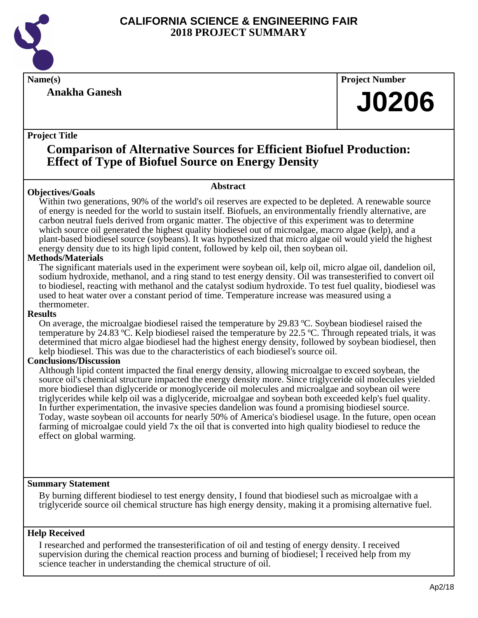

## **Anakha Ganesh**

**Name(s) Project Number**

## **J0206**

## **Project Title**

## **Comparison of Alternative Sources for Efficient Biofuel Production: Effect of Type of Biofuel Source on Energy Density**

## **Abstract**

Within two generations, 90% of the world's oil reserves are expected to be depleted. A renewable source of energy is needed for the world to sustain itself. Biofuels, an environmentally friendly alternative, are carbon neutral fuels derived from organic matter. The objective of this experiment was to determine which source oil generated the highest quality biodiesel out of microalgae, macro algae (kelp), and a plant-based biodiesel source (soybeans). It was hypothesized that micro algae oil would yield the highest energy density due to its high lipid content, followed by kelp oil, then soybean oil.

## **Methods/Materials**

**Objectives/Goals**

The significant materials used in the experiment were soybean oil, kelp oil, micro algae oil, dandelion oil, sodium hydroxide, methanol, and a ring stand to test energy density. Oil was transesterified to convert oil to biodiesel, reacting with methanol and the catalyst sodium hydroxide. To test fuel quality, biodiesel was used to heat water over a constant period of time. Temperature increase was measured using a thermometer.

#### **Results**

On average, the microalgae biodiesel raised the temperature by 29.83 ºC. Soybean biodiesel raised the temperature by 24.83 ºC. Kelp biodiesel raised the temperature by 22.5 ºC. Through repeated trials, it was determined that micro algae biodiesel had the highest energy density, followed by soybean biodiesel, then kelp biodiesel. This was due to the characteristics of each biodiesel's source oil.

## **Conclusions/Discussion**

Although lipid content impacted the final energy density, allowing microalgae to exceed soybean, the source oil's chemical structure impacted the energy density more. Since triglyceride oil molecules yielded more biodiesel than diglyceride or monoglyceride oil molecules and microalgae and soybean oil were triglycerides while kelp oil was a diglyceride, microalgae and soybean both exceeded kelp's fuel quality. In further experimentation, the invasive species dandelion was found a promising biodiesel source. Today, waste soybean oil accounts for nearly 50% of America's biodiesel usage. In the future, open ocean farming of microalgae could yield 7x the oil that is converted into high quality biodiesel to reduce the effect on global warming.

## **Summary Statement**

By burning different biodiesel to test energy density, I found that biodiesel such as microalgae with a triglyceride source oil chemical structure has high energy density, making it a promising alternative fuel.

## **Help Received**

I researched and performed the transesterification of oil and testing of energy density. I received supervision during the chemical reaction process and burning of biodiesel; I received help from my science teacher in understanding the chemical structure of oil.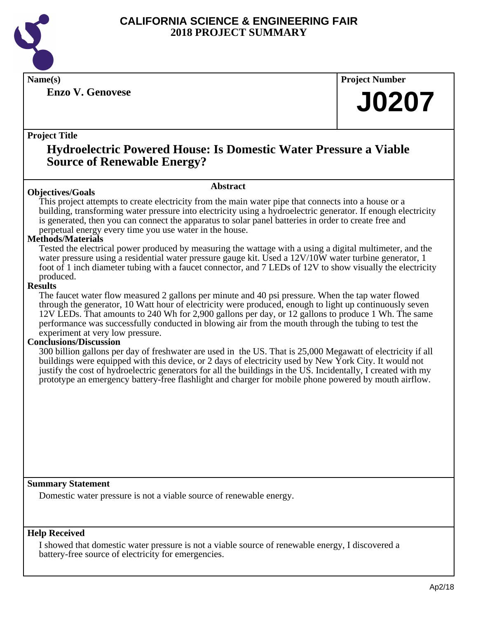

**Enzo V. Genovese**

**Name(s) Project Number**

## **J0207**

## **Project Title**

## **Hydroelectric Powered House: Is Domestic Water Pressure a Viable Source of Renewable Energy?**

## **Objectives/Goals**

**Abstract**

This project attempts to create electricity from the main water pipe that connects into a house or a building, transforming water pressure into electricity using a hydroelectric generator. If enough electricity is generated, then you can connect the apparatus to solar panel batteries in order to create free and perpetual energy every time you use water in the house.

## **Methods/Materials**

Tested the electrical power produced by measuring the wattage with a using a digital multimeter, and the water pressure using a residential water pressure gauge kit. Used a 12V/10W water turbine generator, 1 foot of 1 inch diameter tubing with a faucet connector, and 7 LEDs of 12V to show visually the electricity produced.

## **Results**

The faucet water flow measured 2 gallons per minute and 40 psi pressure. When the tap water flowed through the generator, 10 Watt hour of electricity were produced, enough to light up continuously seven 12V LEDs. That amounts to 240 Wh for 2,900 gallons per day, or 12 gallons to produce 1 Wh. The same performance was successfully conducted in blowing air from the mouth through the tubing to test the experiment at very low pressure.

## **Conclusions/Discussion**

300 billion gallons per day of freshwater are used in the US. That is 25,000 Megawatt of electricity if all buildings were equipped with this device, or 2 days of electricity used by New York City. It would not justify the cost of hydroelectric generators for all the buildings in the US. Incidentally, I created with my prototype an emergency battery-free flashlight and charger for mobile phone powered by mouth airflow.

## **Summary Statement**

Domestic water pressure is not a viable source of renewable energy.

## **Help Received**

I showed that domestic water pressure is not a viable source of renewable energy, I discovered a battery-free source of electricity for emergencies.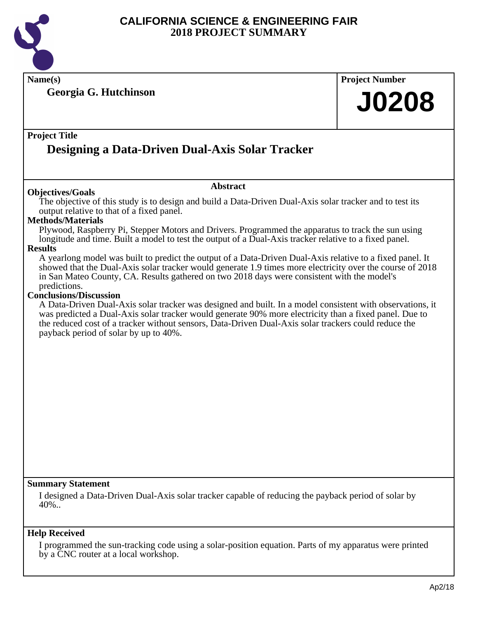

**Name(s) Project Number**

**Georgia G. Hutchinson**

## **Project Title**

## **Designing a Data-Driven Dual-Axis Solar Tracker**

## **Objectives/Goals**

The objective of this study is to design and build a Data-Driven Dual-Axis solar tracker and to test its output relative to that of a fixed panel.

**Abstract**

## **Methods/Materials**

Plywood, Raspberry Pi, Stepper Motors and Drivers. Programmed the apparatus to track the sun using longitude and time. Built a model to test the output of a Dual-Axis tracker relative to a fixed panel.

## **Results**

A yearlong model was built to predict the output of a Data-Driven Dual-Axis relative to a fixed panel. It showed that the Dual-Axis solar tracker would generate 1.9 times more electricity over the course of 2018 in San Mateo County, CA. Results gathered on two 2018 days were consistent with the model's predictions.

#### **Conclusions/Discussion**

A Data-Driven Dual-Axis solar tracker was designed and built. In a model consistent with observations, it was predicted a Dual-Axis solar tracker would generate 90% more electricity than a fixed panel. Due to the reduced cost of a tracker without sensors, Data-Driven Dual-Axis solar trackers could reduce the payback period of solar by up to 40%.

## **Summary Statement**

I designed a Data-Driven Dual-Axis solar tracker capable of reducing the payback period of solar by  $40\%$ ..

## **Help Received**

I programmed the sun-tracking code using a solar-position equation. Parts of my apparatus were printed by a CNC router at a local workshop.

**J0208**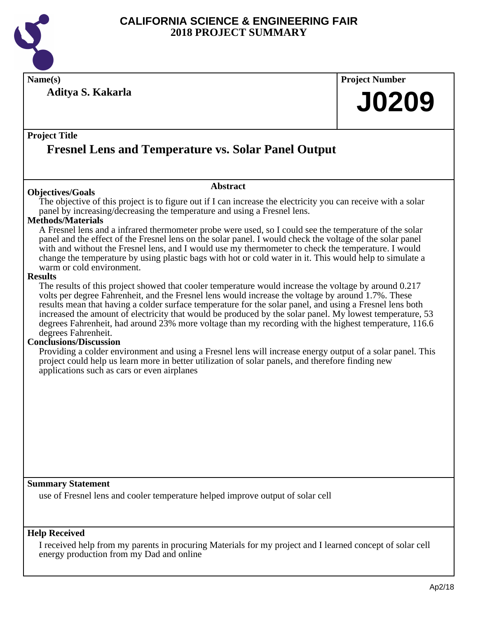

**Name(s) Project Number**

**Aditya S. Kakarla**

# **J0209**

## **Project Title**

## **Fresnel Lens and Temperature vs. Solar Panel Output**

## **Objectives/Goals**

The objective of this project is to figure out if I can increase the electricity you can receive with a solar panel by increasing/decreasing the temperature and using a Fresnel lens.

**Abstract**

## **Methods/Materials**

A Fresnel lens and a infrared thermometer probe were used, so I could see the temperature of the solar panel and the effect of the Fresnel lens on the solar panel. I would check the voltage of the solar panel with and without the Fresnel lens, and I would use my thermometer to check the temperature. I would change the temperature by using plastic bags with hot or cold water in it. This would help to simulate a warm or cold environment.

#### **Results**

The results of this project showed that cooler temperature would increase the voltage by around 0.217 volts per degree Fahrenheit, and the Fresnel lens would increase the voltage by around 1.7%. These results mean that having a colder surface temperature for the solar panel, and using a Fresnel lens both increased the amount of electricity that would be produced by the solar panel. My lowest temperature, 53 degrees Fahrenheit, had around 23% more voltage than my recording with the highest temperature, 116.6 degrees Fahrenheit.

## **Conclusions/Discussion**

Providing a colder environment and using a Fresnel lens will increase energy output of a solar panel. This project could help us learn more in better utilization of solar panels, and therefore finding new applications such as cars or even airplanes

## **Summary Statement**

use of Fresnel lens and cooler temperature helped improve output of solar cell

## **Help Received**

I received help from my parents in procuring Materials for my project and I learned concept of solar cell energy production from my Dad and online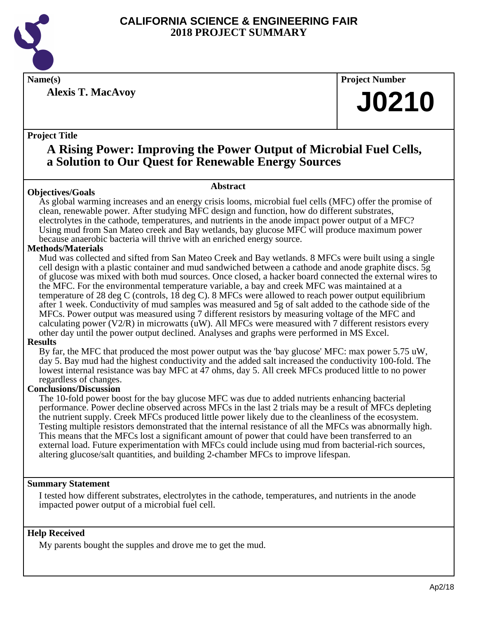

**Alexis T. MacAvoy**

**Name(s) Project Number**

# **J0210**

## **Project Title**

## **A Rising Power: Improving the Power Output of Microbial Fuel Cells, a Solution to Our Quest for Renewable Energy Sources**

## **Abstract**

**Objectives/Goals** As global warming increases and an energy crisis looms, microbial fuel cells (MFC) offer the promise of clean, renewable power. After studying MFC design and function, how do different substrates, electrolytes in the cathode, temperatures, and nutrients in the anode impact power output of a MFC? Using mud from San Mateo creek and Bay wetlands, bay glucose MFC will produce maximum power because anaerobic bacteria will thrive with an enriched energy source.

## **Methods/Materials**

Mud was collected and sifted from San Mateo Creek and Bay wetlands. 8 MFCs were built using a single cell design with a plastic container and mud sandwiched between a cathode and anode graphite discs. 5g of glucose was mixed with both mud sources. Once closed, a hacker board connected the external wires to the MFC. For the environmental temperature variable, a bay and creek MFC was maintained at a temperature of 28 deg C (controls, 18 deg C). 8 MFCs were allowed to reach power output equilibrium after 1 week. Conductivity of mud samples was measured and 5g of salt added to the cathode side of the MFCs. Power output was measured using 7 different resistors by measuring voltage of the MFC and calculating power  $(V2/R)$  in microwatts (uW). All MFCs were measured with 7 different resistors every other day until the power output declined. Analyses and graphs were performed in MS Excel.

## **Results**

By far, the MFC that produced the most power output was the 'bay glucose' MFC: max power 5.75 uW, day 5. Bay mud had the highest conductivity and the added salt increased the conductivity 100-fold. The lowest internal resistance was bay MFC at 47 ohms, day 5. All creek MFCs produced little to no power regardless of changes.

## **Conclusions/Discussion**

The 10-fold power boost for the bay glucose MFC was due to added nutrients enhancing bacterial performance. Power decline observed across MFCs in the last 2 trials may be a result of MFCs depleting the nutrient supply. Creek MFCs produced little power likely due to the cleanliness of the ecosystem. Testing multiple resistors demonstrated that the internal resistance of all the MFCs was abnormally high. This means that the MFCs lost a significant amount of power that could have been transferred to an external load. Future experimentation with MFCs could include using mud from bacterial-rich sources, altering glucose/salt quantities, and building 2-chamber MFCs to improve lifespan.

## **Summary Statement**

I tested how different substrates, electrolytes in the cathode, temperatures, and nutrients in the anode impacted power output of a microbial fuel cell.

## **Help Received**

My parents bought the supples and drove me to get the mud.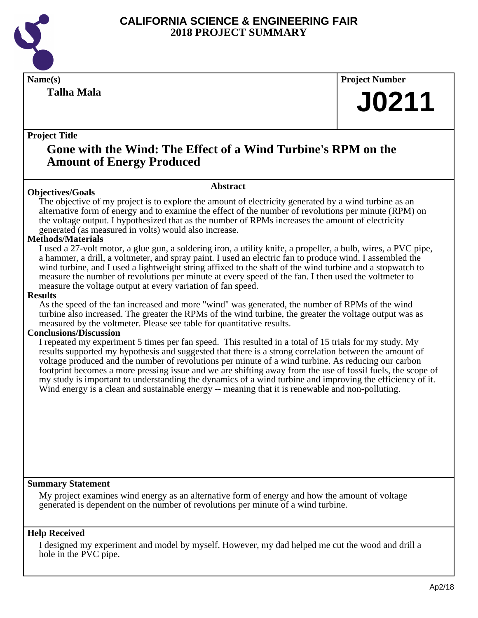

**Talha Mala**

**Name(s) Project Number**

# **J0211**

## **Project Title**

## **Gone with the Wind: The Effect of a Wind Turbine's RPM on the Amount of Energy Produced**

## **Objectives/Goals**

The objective of my project is to explore the amount of electricity generated by a wind turbine as an alternative form of energy and to examine the effect of the number of revolutions per minute (RPM) on the voltage output. I hypothesized that as the number of RPMs increases the amount of electricity generated (as measured in volts) would also increase.

**Abstract**

## **Methods/Materials**

I used a 27-volt motor, a glue gun, a soldering iron, a utility knife, a propeller, a bulb, wires, a PVC pipe, a hammer, a drill, a voltmeter, and spray paint. I used an electric fan to produce wind. I assembled the wind turbine, and I used a lightweight string affixed to the shaft of the wind turbine and a stopwatch to measure the number of revolutions per minute at every speed of the fan. I then used the voltmeter to measure the voltage output at every variation of fan speed.

#### **Results**

As the speed of the fan increased and more "wind" was generated, the number of RPMs of the wind turbine also increased. The greater the RPMs of the wind turbine, the greater the voltage output was as measured by the voltmeter. Please see table for quantitative results.

## **Conclusions/Discussion**

I repeated my experiment 5 times per fan speed. This resulted in a total of 15 trials for my study. My results supported my hypothesis and suggested that there is a strong correlation between the amount of voltage produced and the number of revolutions per minute of a wind turbine. As reducing our carbon footprint becomes a more pressing issue and we are shifting away from the use of fossil fuels, the scope of my study is important to understanding the dynamics of a wind turbine and improving the efficiency of it. Wind energy is a clean and sustainable energy -- meaning that it is renewable and non-polluting.

## **Summary Statement**

My project examines wind energy as an alternative form of energy and how the amount of voltage generated is dependent on the number of revolutions per minute of a wind turbine.

## **Help Received**

I designed my experiment and model by myself. However, my dad helped me cut the wood and drill a hole in the PVC pipe.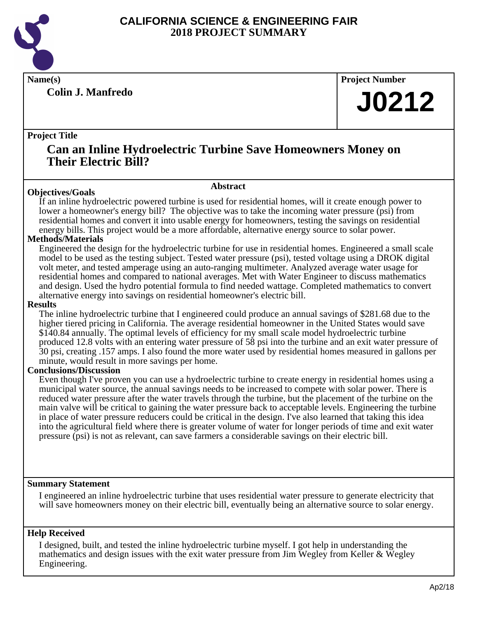

**Colin J. Manfredo**

**Name(s) Project Number**

## **J0212**

## **Project Title**

## **Can an Inline Hydroelectric Turbine Save Homeowners Money on Their Electric Bill?**

## **Objectives/Goals**

**Abstract**

If an inline hydroelectric powered turbine is used for residential homes, will it create enough power to lower a homeowner's energy bill? The objective was to take the incoming water pressure (psi) from residential homes and convert it into usable energy for homeowners, testing the savings on residential energy bills. This project would be a more affordable, alternative energy source to solar power.

## **Methods/Materials**

Engineered the design for the hydroelectric turbine for use in residential homes. Engineered a small scale model to be used as the testing subject. Tested water pressure (psi), tested voltage using a DROK digital volt meter, and tested amperage using an auto-ranging multimeter. Analyzed average water usage for residential homes and compared to national averages. Met with Water Engineer to discuss mathematics and design. Used the hydro potential formula to find needed wattage. Completed mathematics to convert alternative energy into savings on residential homeowner's electric bill.

#### **Results**

The inline hydroelectric turbine that I engineered could produce an annual savings of \$281.68 due to the higher tiered pricing in California. The average residential homeowner in the United States would save \$140.84 annually. The optimal levels of efficiency for my small scale model hydroelectric turbine produced 12.8 volts with an entering water pressure of 58 psi into the turbine and an exit water pressure of 30 psi, creating .157 amps. I also found the more water used by residential homes measured in gallons per minute, would result in more savings per home.

## **Conclusions/Discussion**

Even though I've proven you can use a hydroelectric turbine to create energy in residential homes using a municipal water source, the annual savings needs to be increased to compete with solar power. There is reduced water pressure after the water travels through the turbine, but the placement of the turbine on the main valve will be critical to gaining the water pressure back to acceptable levels. Engineering the turbine in place of water pressure reducers could be critical in the design. I've also learned that taking this idea into the agricultural field where there is greater volume of water for longer periods of time and exit water pressure (psi) is not as relevant, can save farmers a considerable savings on their electric bill.

## **Summary Statement**

I engineered an inline hydroelectric turbine that uses residential water pressure to generate electricity that will save homeowners money on their electric bill, eventually being an alternative source to solar energy.

## **Help Received**

I designed, built, and tested the inline hydroelectric turbine myself. I got help in understanding the mathematics and design issues with the exit water pressure from Jim Wegley from Keller & Wegley Engineering.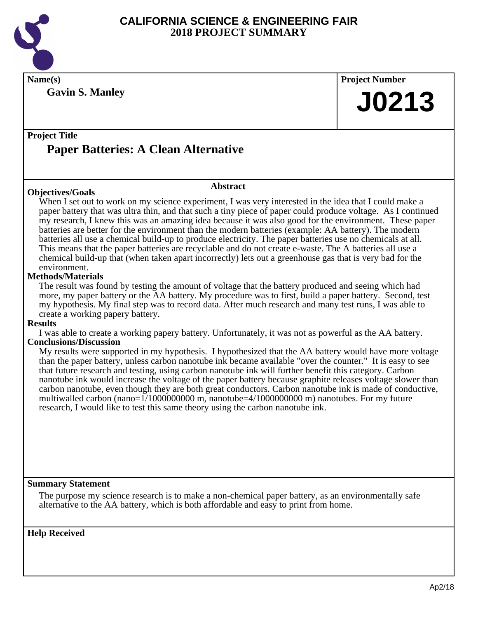

**Gavin S. Manley**

**Name(s) Project Number J0213**

## **Project Title**

## **Paper Batteries: A Clean Alternative**

## **Objectives/Goals**

## **Abstract**

When I set out to work on my science experiment, I was very interested in the idea that I could make a paper battery that was ultra thin, and that such a tiny piece of paper could produce voltage. As I continued my research, I knew this was an amazing idea because it was also good for the environment. These paper batteries are better for the environment than the modern batteries (example: AA battery). The modern batteries all use a chemical build-up to produce electricity. The paper batteries use no chemicals at all. This means that the paper batteries are recyclable and do not create e-waste. The A batteries all use a chemical build-up that (when taken apart incorrectly) lets out a greenhouse gas that is very bad for the environment.

## **Methods/Materials**

The result was found by testing the amount of voltage that the battery produced and seeing which had more, my paper battery or the AA battery. My procedure was to first, build a paper battery. Second, test my hypothesis. My final step was to record data. After much research and many test runs, I was able to create a working papery battery.

## **Results**

I was able to create a working papery battery. Unfortunately, it was not as powerful as the AA battery.

## **Conclusions/Discussion**

My results were supported in my hypothesis. I hypothesized that the AA battery would have more voltage than the paper battery, unless carbon nanotube ink became available "over the counter." It is easy to see that future research and testing, using carbon nanotube ink will further benefit this category. Carbon nanotube ink would increase the voltage of the paper battery because graphite releases voltage slower than carbon nanotube, even though they are both great conductors. Carbon nanotube ink is made of conductive, multiwalled carbon (nano= $1/1000000000$  m, nanotube= $4/1000000000$  m) nanotubes. For my future research, I would like to test this same theory using the carbon nanotube ink.

## **Summary Statement**

The purpose my science research is to make a non-chemical paper battery, as an environmentally safe alternative to the AA battery, which is both affordable and easy to print from home.

## **Help Received**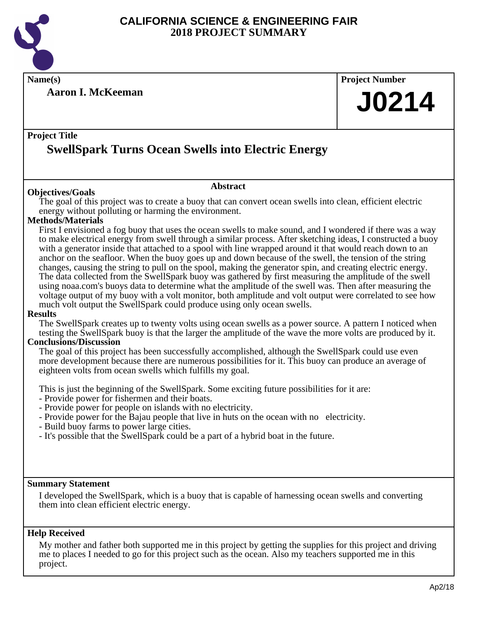

**Name(s) Project Number**

**Aaron I. McKeeman**

# **J0214**

## **Project Title SwellSpark Turns Ocean Swells into Electric Energy**

## **Abstract**

**Objectives/Goals** The goal of this project was to create a buoy that can convert ocean swells into clean, efficient electric energy without polluting or harming the environment.

## **Methods/Materials**

First I envisioned a fog buoy that uses the ocean swells to make sound, and I wondered if there was a way to make electrical energy from swell through a similar process. After sketching ideas, I constructed a buoy with a generator inside that attached to a spool with line wrapped around it that would reach down to an anchor on the seafloor. When the buoy goes up and down because of the swell, the tension of the string changes, causing the string to pull on the spool, making the generator spin, and creating electric energy. The data collected from the SwellSpark buoy was gathered by first measuring the amplitude of the swell using noaa.com's buoys data to determine what the amplitude of the swell was. Then after measuring the voltage output of my buoy with a volt monitor, both amplitude and volt output were correlated to see how much volt output the SwellSpark could produce using only ocean swells.

## **Results**

The SwellSpark creates up to twenty volts using ocean swells as a power source. A pattern I noticed when testing the SwellSpark buoy is that the larger the amplitude of the wave the more volts are produced by it.

## **Conclusions/Discussion**

The goal of this project has been successfully accomplished, although the SwellSpark could use even more development because there are numerous possibilities for it. This buoy can produce an average of eighteen volts from ocean swells which fulfills my goal.

This is just the beginning of the SwellSpark. Some exciting future possibilities for it are:

- Provide power for fishermen and their boats.
- Provide power for people on islands with no electricity.
- Provide power for the Bajau people that live in huts on the ocean with no electricity.
- Build buoy farms to power large cities.
- It's possible that the SwellSpark could be a part of a hybrid boat in the future.

## **Summary Statement**

I developed the SwellSpark, which is a buoy that is capable of harnessing ocean swells and converting them into clean efficient electric energy.

## **Help Received**

My mother and father both supported me in this project by getting the supplies for this project and driving me to places I needed to go for this project such as the ocean. Also my teachers supported me in this project.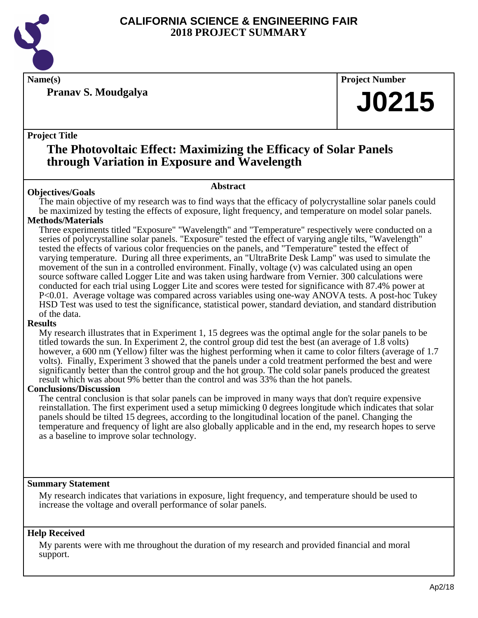

**Pranav S. Moudgalya**

**Name(s) Project Number**

## **J0215**

## **Project Title**

## **The Photovoltaic Effect: Maximizing the Efficacy of Solar Panels through Variation in Exposure and Wavelength**

## **Abstract**

**Objectives/Goals** The main objective of my research was to find ways that the efficacy of polycrystalline solar panels could be maximized by testing the effects of exposure, light frequency, and temperature on model solar panels.

## **Methods/Materials**

Three experiments titled "Exposure" "Wavelength" and "Temperature" respectively were conducted on a series of polycrystalline solar panels. "Exposure" tested the effect of varying angle tilts, "Wavelength" tested the effects of various color frequencies on the panels, and "Temperature" tested the effect of varying temperature. During all three experiments, an "UltraBrite Desk Lamp" was used to simulate the movement of the sun in a controlled environment. Finally, voltage (v) was calculated using an open source software called Logger Lite and was taken using hardware from Vernier. 300 calculations were conducted for each trial using Logger Lite and scores were tested for significance with 87.4% power at P<0.01. Average voltage was compared across variables using one-way ANOVA tests. A post-hoc Tukey HSD Test was used to test the significance, statistical power, standard deviation, and standard distribution of the data.

## **Results**

My research illustrates that in Experiment 1, 15 degrees was the optimal angle for the solar panels to be titled towards the sun. In Experiment 2, the control group did test the best (an average of 1.8 volts) however, a 600 nm (Yellow) filter was the highest performing when it came to color filters (average of 1.7 volts). Finally, Experiment 3 showed that the panels under a cold treatment performed the best and were significantly better than the control group and the hot group. The cold solar panels produced the greatest result which was about 9% better than the control and was 33% than the hot panels.

## **Conclusions/Discussion**

The central conclusion is that solar panels can be improved in many ways that don't require expensive reinstallation. The first experiment used a setup mimicking 0 degrees longitude which indicates that solar panels should be tilted 15 degrees, according to the longitudinal location of the panel. Changing the temperature and frequency of light are also globally applicable and in the end, my research hopes to serve as a baseline to improve solar technology.

## **Summary Statement**

My research indicates that variations in exposure, light frequency, and temperature should be used to increase the voltage and overall performance of solar panels.

## **Help Received**

My parents were with me throughout the duration of my research and provided financial and moral support.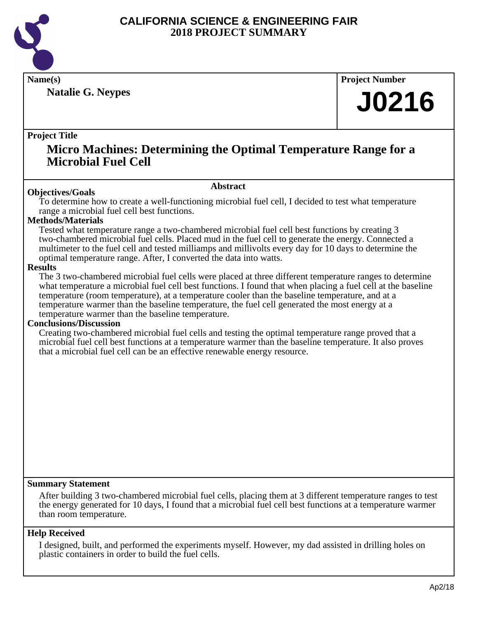

**Natalie G. Neypes**

**Name(s) Project Number**

# **J0216**

## **Project Title**

## **Micro Machines: Determining the Optimal Temperature Range for a Microbial Fuel Cell**

## **Abstract**

**Objectives/Goals** To determine how to create a well-functioning microbial fuel cell, I decided to test what temperature range a microbial fuel cell best functions.

## **Methods/Materials**

Tested what temperature range a two-chambered microbial fuel cell best functions by creating 3 two-chambered microbial fuel cells. Placed mud in the fuel cell to generate the energy. Connected a multimeter to the fuel cell and tested milliamps and millivolts every day for 10 days to determine the optimal temperature range. After, I converted the data into watts.

#### **Results**

The 3 two-chambered microbial fuel cells were placed at three different temperature ranges to determine what temperature a microbial fuel cell best functions. I found that when placing a fuel cell at the baseline temperature (room temperature), at a temperature cooler than the baseline temperature, and at a temperature warmer than the baseline temperature, the fuel cell generated the most energy at a temperature warmer than the baseline temperature.

## **Conclusions/Discussion**

Creating two-chambered microbial fuel cells and testing the optimal temperature range proved that a microbial fuel cell best functions at a temperature warmer than the baseline temperature. It also proves that a microbial fuel cell can be an effective renewable energy resource.

## **Summary Statement**

After building 3 two-chambered microbial fuel cells, placing them at 3 different temperature ranges to test the energy generated for 10 days, I found that a microbial fuel cell best functions at a temperature warmer than room temperature.

## **Help Received**

I designed, built, and performed the experiments myself. However, my dad assisted in drilling holes on plastic containers in order to build the fuel cells.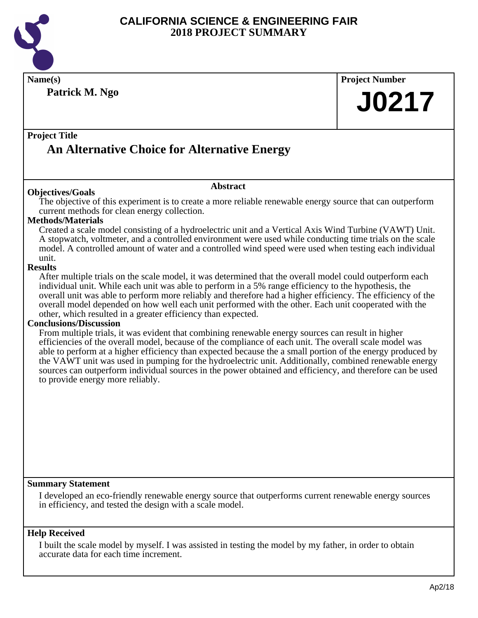

| Name(s)                                                                                                                                                                                                             | <b>Project Number</b> |  |
|---------------------------------------------------------------------------------------------------------------------------------------------------------------------------------------------------------------------|-----------------------|--|
| Patrick M. Ngo                                                                                                                                                                                                      | <b>J0217</b>          |  |
|                                                                                                                                                                                                                     |                       |  |
|                                                                                                                                                                                                                     |                       |  |
| <b>Project Title</b>                                                                                                                                                                                                |                       |  |
| <b>An Alternative Choice for Alternative Energy</b>                                                                                                                                                                 |                       |  |
|                                                                                                                                                                                                                     |                       |  |
| <b>Abstract</b>                                                                                                                                                                                                     |                       |  |
| <b>Objectives/Goals</b>                                                                                                                                                                                             |                       |  |
| The objective of this experiment is to create a more reliable renewable energy source that can outperform<br>current methods for clean energy collection.                                                           |                       |  |
| <b>Methods/Materials</b>                                                                                                                                                                                            |                       |  |
| Created a scale model consisting of a hydroelectric unit and a Vertical Axis Wind Turbine (VAWT) Unit.                                                                                                              |                       |  |
| A stopwatch, voltmeter, and a controlled environment were used while conducting time trials on the scale<br>model. A controlled amount of water and a controlled wind speed were used when testing each individual  |                       |  |
| unit.                                                                                                                                                                                                               |                       |  |
| <b>Results</b>                                                                                                                                                                                                      |                       |  |
| After multiple trials on the scale model, it was determined that the overall model could outperform each                                                                                                            |                       |  |
| individual unit. While each unit was able to perform in a 5% range efficiency to the hypothesis, the<br>overall unit was able to perform more reliably and therefore had a higher efficiency. The efficiency of the |                       |  |
| overall model depended on how well each unit performed with the other. Each unit cooperated with the                                                                                                                |                       |  |
| other, which resulted in a greater efficiency than expected.                                                                                                                                                        |                       |  |
| <b>Conclusions/Discussion</b><br>From multiple trials, it was evident that combining renewable energy sources can result in higher                                                                                  |                       |  |
| efficiencies of the overall model, because of the compliance of each unit. The overall scale model was                                                                                                              |                       |  |
| able to perform at a higher efficiency than expected because the a small portion of the energy produced by                                                                                                          |                       |  |
| the VAWT unit was used in pumping for the hydroelectric unit. Additionally, combined renewable energy<br>sources can outperform individual sources in the power obtained and efficiency, and therefore can be used  |                       |  |
| to provide energy more reliably.                                                                                                                                                                                    |                       |  |
|                                                                                                                                                                                                                     |                       |  |
|                                                                                                                                                                                                                     |                       |  |
|                                                                                                                                                                                                                     |                       |  |
|                                                                                                                                                                                                                     |                       |  |
|                                                                                                                                                                                                                     |                       |  |
|                                                                                                                                                                                                                     |                       |  |
|                                                                                                                                                                                                                     |                       |  |
|                                                                                                                                                                                                                     |                       |  |
| <b>Summary Statement</b>                                                                                                                                                                                            |                       |  |
| I developed an eco-friendly renewable energy source that outperforms current renewable energy sources<br>in efficiency, and tested the design with a scale model.                                                   |                       |  |
|                                                                                                                                                                                                                     |                       |  |
| <b>Help Received</b>                                                                                                                                                                                                |                       |  |
| I built the scale model by myself. I was assisted in testing the model by my father, in order to obtain                                                                                                             |                       |  |
| accurate data for each time increment.                                                                                                                                                                              |                       |  |
|                                                                                                                                                                                                                     |                       |  |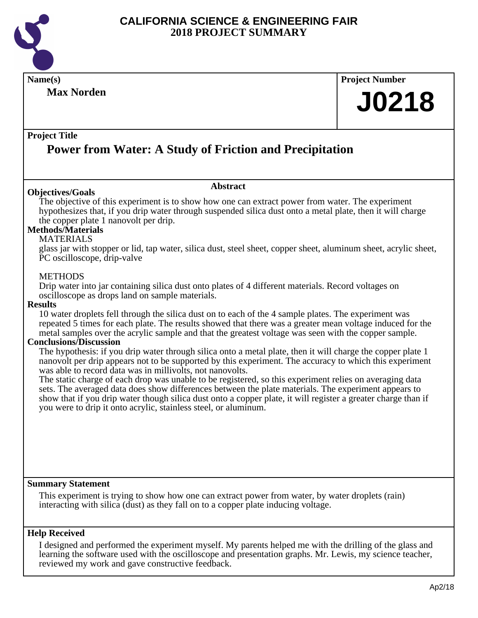

**Name(s) Project Number Project Title Abstract Max Norden Power from Water: A Study of Friction and Precipitation J0218 Objectives/Goals** The objective of this experiment is to show how one can extract power from water. The experiment hypothesizes that, if you drip water through suspended silica dust onto a metal plate, then it will charge the copper plate 1 nanovolt per drip. **Methods/Materials** MATERIALS glass jar with stopper or lid, tap water, silica dust, steel sheet, copper sheet, aluminum sheet, acrylic sheet, PC oscilloscope, drip-valve METHODS Drip water into jar containing silica dust onto plates of 4 different materials. Record voltages on oscilloscope as drops land on sample materials. **Results** 10 water droplets fell through the silica dust on to each of the 4 sample plates. The experiment was repeated 5 times for each plate. The results showed that there was a greater mean voltage induced for the metal samples over the acrylic sample and that the greatest voltage was seen with the copper sample.

#### **Conclusions/Discussion**

The hypothesis: if you drip water through silica onto a metal plate, then it will charge the copper plate 1 nanovolt per drip appears not to be supported by this experiment. The accuracy to which this experiment was able to record data was in millivolts, not nanovolts.

The static charge of each drop was unable to be registered, so this experiment relies on averaging data sets. The averaged data does show differences between the plate materials. The experiment appears to show that if you drip water though silica dust onto a copper plate, it will register a greater charge than if you were to drip it onto acrylic, stainless steel, or aluminum.

#### **Summary Statement**

This experiment is trying to show how one can extract power from water, by water droplets (rain) interacting with silica (dust) as they fall on to a copper plate inducing voltage.

#### **Help Received**

I designed and performed the experiment myself. My parents helped me with the drilling of the glass and learning the software used with the oscilloscope and presentation graphs. Mr. Lewis, my science teacher, reviewed my work and gave constructive feedback.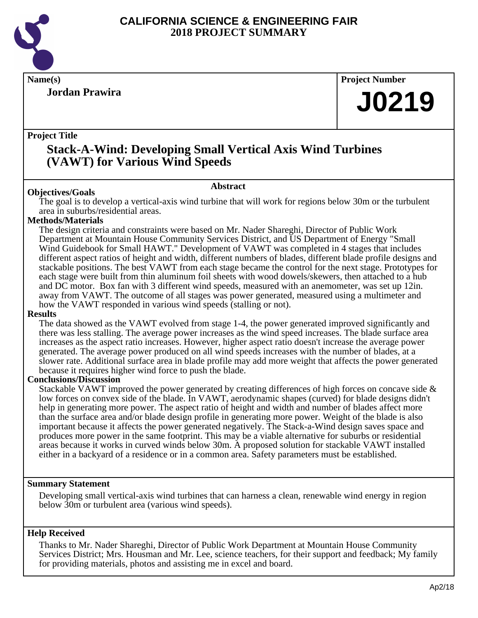

**Jordan Prawira**

**Name(s) Project Number**

# **J0219**

## **Project Title**

## **Stack-A-Wind: Developing Small Vertical Axis Wind Turbines (VAWT) for Various Wind Speeds**

## **Abstract**

**Objectives/Goals** The goal is to develop a vertical-axis wind turbine that will work for regions below 30m or the turbulent area in suburbs/residential areas.

## **Methods/Materials**

The design criteria and constraints were based on Mr. Nader Shareghi, Director of Public Work Department at Mountain House Community Services District, and US Department of Energy "Small Wind Guidebook for Small HAWT." Development of VAWT was completed in 4 stages that includes different aspect ratios of height and width, different numbers of blades, different blade profile designs and stackable positions. The best VAWT from each stage became the control for the next stage. Prototypes for each stage were built from thin aluminum foil sheets with wood dowels/skewers, then attached to a hub and DC motor. Box fan with 3 different wind speeds, measured with an anemometer, was set up 12in. away from VAWT. The outcome of all stages was power generated, measured using a multimeter and how the VAWT responded in various wind speeds (stalling or not).

### **Results**

The data showed as the VAWT evolved from stage 1-4, the power generated improved significantly and there was less stalling. The average power increases as the wind speed increases. The blade surface area increases as the aspect ratio increases. However, higher aspect ratio doesn't increase the average power generated. The average power produced on all wind speeds increases with the number of blades, at a slower rate. Additional surface area in blade profile may add more weight that affects the power generated because it requires higher wind force to push the blade.

## **Conclusions/Discussion**

Stackable VAWT improved the power generated by creating differences of high forces on concave side & low forces on convex side of the blade. In VAWT, aerodynamic shapes (curved) for blade designs didn't help in generating more power. The aspect ratio of height and width and number of blades affect more than the surface area and/or blade design profile in generating more power. Weight of the blade is also important because it affects the power generated negatively. The Stack-a-Wind design saves space and produces more power in the same footprint. This may be a viable alternative for suburbs or residential areas because it works in curved winds below 30m. A proposed solution for stackable VAWT installed either in a backyard of a residence or in a common area. Safety parameters must be established.

## **Summary Statement**

Developing small vertical-axis wind turbines that can harness a clean, renewable wind energy in region below 30m or turbulent area (various wind speeds).

## **Help Received**

Thanks to Mr. Nader Shareghi, Director of Public Work Department at Mountain House Community Services District; Mrs. Housman and Mr. Lee, science teachers, for their support and feedback; My family for providing materials, photos and assisting me in excel and board.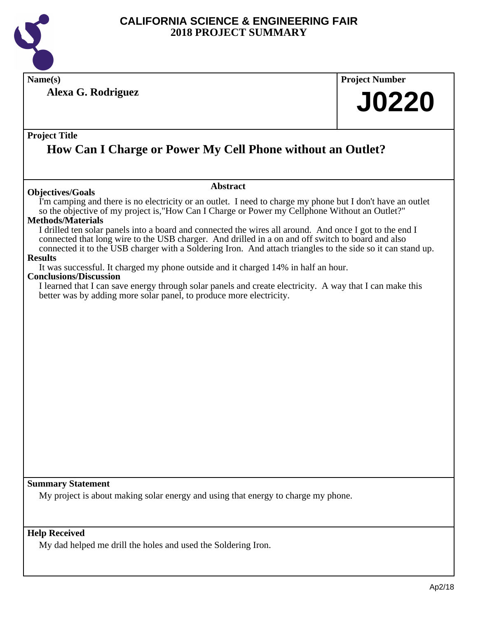

**Name(s) Project Number**

**Alexa G. Rodriguez**

# **J0220**

## **Project Title**

## **How Can I Charge or Power My Cell Phone without an Outlet?**

## **Objectives/Goals**

### **Abstract**

I'm camping and there is no electricity or an outlet. I need to charge my phone but I don't have an outlet so the objective of my project is,"How Can I Charge or Power my Cellphone Without an Outlet?"

## **Methods/Materials**

I drilled ten solar panels into a board and connected the wires all around. And once I got to the end I connected that long wire to the USB charger. And drilled in a on and off switch to board and also connected it to the USB charger with a Soldering Iron. And attach triangles to the side so it can stand up.

## **Results**

It was successful. It charged my phone outside and it charged 14% in half an hour.

## **Conclusions/Discussion**

I learned that I can save energy through solar panels and create electricity. A way that I can make this better was by adding more solar panel, to produce more electricity.

## **Summary Statement**

My project is about making solar energy and using that energy to charge my phone.

## **Help Received**

My dad helped me drill the holes and used the Soldering Iron.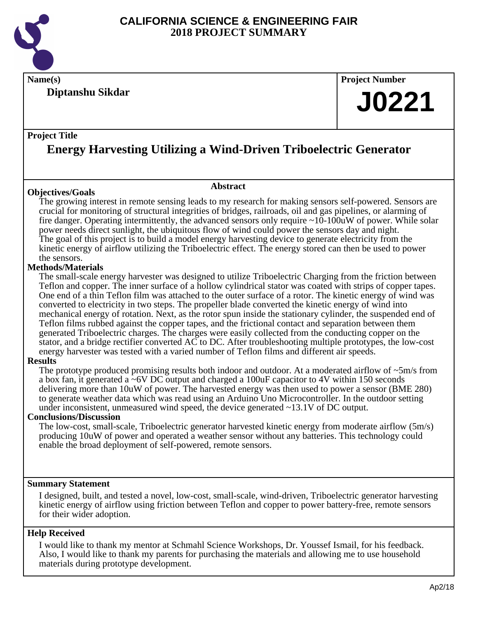

**Name(s) Project Number**

**Diptanshu Sikdar**

## **J0221**

## **Project Title**

## **Energy Harvesting Utilizing a Wind-Driven Triboelectric Generator**

## **Objectives/Goals**

**Abstract**

The growing interest in remote sensing leads to my research for making sensors self-powered. Sensors are crucial for monitoring of structural integrities of bridges, railroads, oil and gas pipelines, or alarming of fire danger. Operating intermittently, the advanced sensors only require ~10-100uW of power. While solar power needs direct sunlight, the ubiquitous flow of wind could power the sensors day and night. The goal of this project is to build a model energy harvesting device to generate electricity from the kinetic energy of airflow utilizing the Triboelectric effect. The energy stored can then be used to power the sensors.

## **Methods/Materials**

The small-scale energy harvester was designed to utilize Triboelectric Charging from the friction between Teflon and copper. The inner surface of a hollow cylindrical stator was coated with strips of copper tapes. One end of a thin Teflon film was attached to the outer surface of a rotor. The kinetic energy of wind was converted to electricity in two steps. The propeller blade converted the kinetic energy of wind into mechanical energy of rotation. Next, as the rotor spun inside the stationary cylinder, the suspended end of Teflon films rubbed against the copper tapes, and the frictional contact and separation between them generated Triboelectric charges. The charges were easily collected from the conducting copper on the stator, and a bridge rectifier converted AC to DC. After troubleshooting multiple prototypes, the low-cost energy harvester was tested with a varied number of Teflon films and different air speeds.

## **Results**

The prototype produced promising results both indoor and outdoor. At a moderated airflow of ~5m/s from a box fan, it generated a  $\sim$  6V DC output and charged a 100 uF capacitor to 4V within 150 seconds delivering more than 10uW of power. The harvested energy was then used to power a sensor (BME 280) to generate weather data which was read using an Arduino Uno Microcontroller. In the outdoor setting under inconsistent, unmeasured wind speed, the device generated ~13.1V of DC output.

## **Conclusions/Discussion**

The low-cost, small-scale, Triboelectric generator harvested kinetic energy from moderate airflow (5m/s) producing 10uW of power and operated a weather sensor without any batteries. This technology could enable the broad deployment of self-powered, remote sensors.

## **Summary Statement**

I designed, built, and tested a novel, low-cost, small-scale, wind-driven, Triboelectric generator harvesting kinetic energy of airflow using friction between Teflon and copper to power battery-free, remote sensors for their wider adoption.

## **Help Received**

I would like to thank my mentor at Schmahl Science Workshops, Dr. Youssef Ismail, for his feedback. Also, I would like to thank my parents for purchasing the materials and allowing me to use household materials during prototype development.